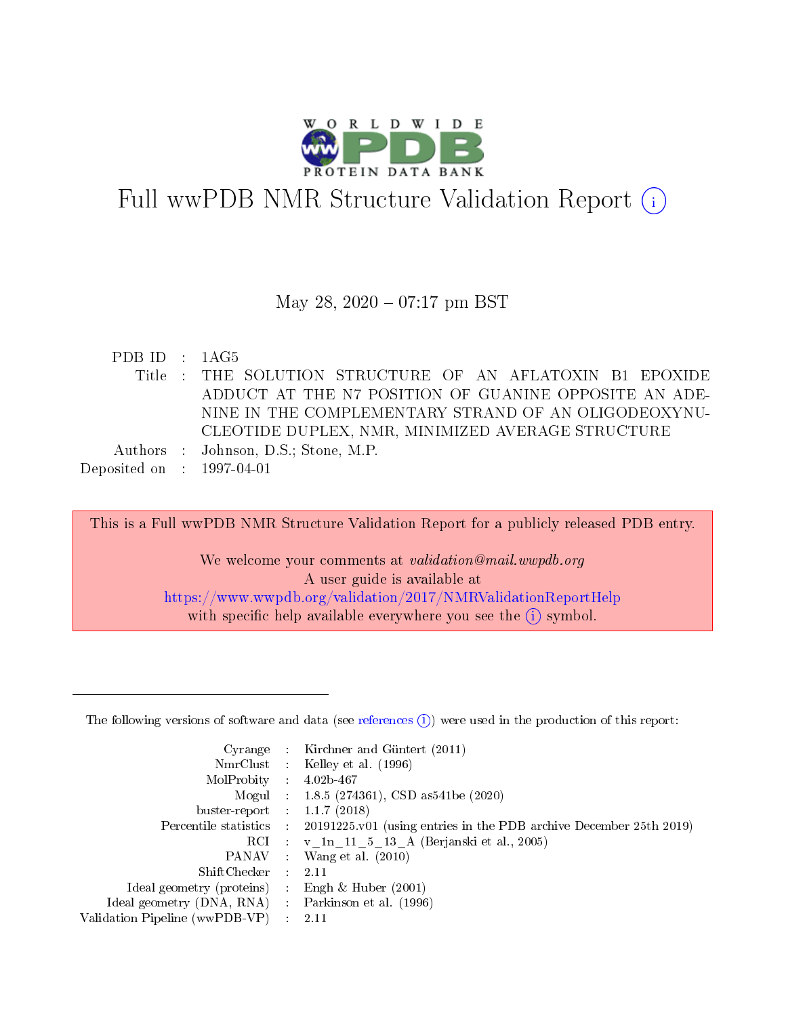

# Full wwPDB NMR Structure Validation Report (i)

### May 28, 2020 - 07:17 pm BST

| PDBID : 1AG5                         |                                                           |
|--------------------------------------|-----------------------------------------------------------|
|                                      | Title : THE SOLUTION STRUCTURE OF AN AFLATOXIN B1 EPOXIDE |
|                                      | ADDUCT AT THE N7 POSITION OF GUANINE OPPOSITE AN ADE-     |
|                                      | NINE IN THE COMPLEMENTARY STRAND OF AN OLIGODEOXYNU-      |
|                                      | CLEOTIDE DUPLEX, NMR, MINIMIZED AVERAGE STRUCTURE         |
|                                      | Authors : Johnson, D.S.; Stone, M.P.                      |
| Deposited on $\therefore$ 1997-04-01 |                                                           |

This is a Full wwPDB NMR Structure Validation Report for a publicly released PDB entry. We welcome your comments at validation@mail.wwpdb.org A user guide is available at <https://www.wwpdb.org/validation/2017/NMRValidationReportHelp> with specific help available everywhere you see the  $(i)$  symbol.

The following versions of software and data (see [references](https://www.wwpdb.org/validation/2017/NMRValidationReportHelp#references)  $(i)$ ) were used in the production of this report:

|                                                   |                             | Cyrange : Kirchner and Güntert (2011)                              |
|---------------------------------------------------|-----------------------------|--------------------------------------------------------------------|
|                                                   |                             | NmrClust : Kelley et al. (1996)                                    |
| MolProbity :                                      |                             | $4.02b - 467$                                                      |
|                                                   |                             | Mogul : 1.8.5 (274361), CSD as 541 be (2020)                       |
| buster-report : $1.1.7$ (2018)                    |                             |                                                                    |
| Percentile statistics :                           |                             | 20191225 v01 (using entries in the PDB archive December 25th 2019) |
|                                                   |                             | RCI : v 1n 11 5 13 A (Berjanski et al., 2005)                      |
|                                                   |                             | PANAV : Wang et al. (2010)                                         |
| $ShiftChecker$ :                                  |                             | -2.11                                                              |
| Ideal geometry (proteins)                         |                             | Engh & Huber $(2001)$                                              |
| Ideal geometry (DNA, RNA) Parkinson et al. (1996) |                             |                                                                    |
| Validation Pipeline (wwPDB-VP)                    | $\mathcal{L}_{\mathcal{L}}$ | 2.11                                                               |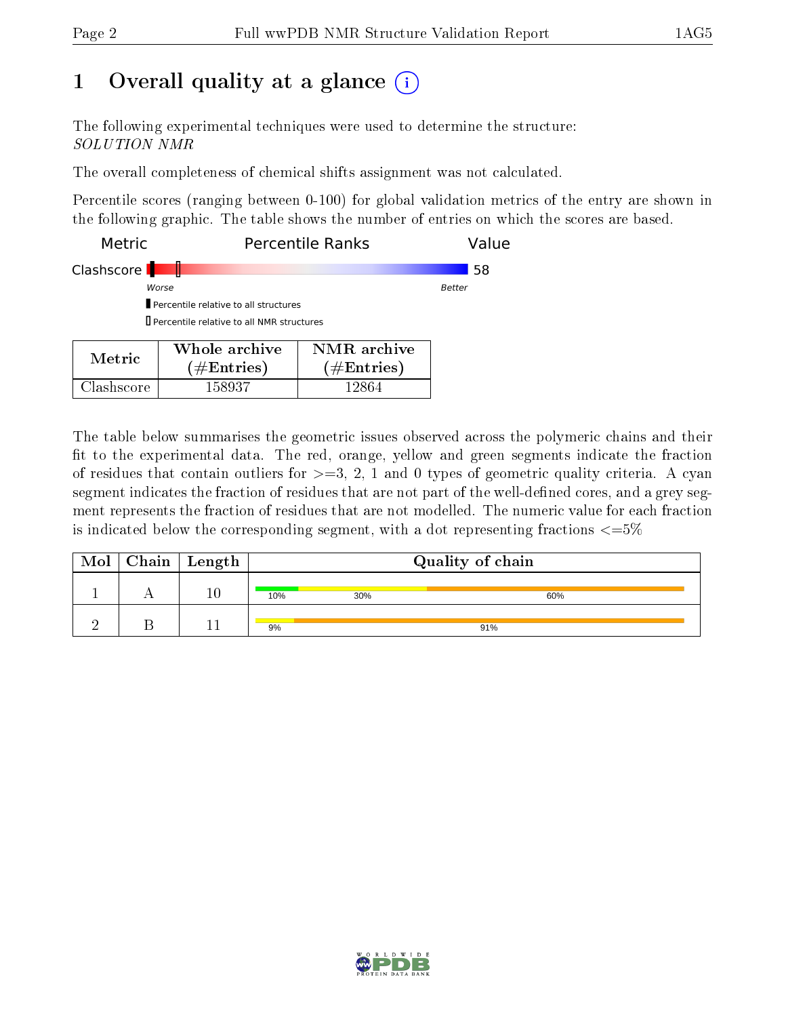## 1 [O](https://www.wwpdb.org/validation/2017/NMRValidationReportHelp#overall_quality)verall quality at a glance  $(i)$

The following experimental techniques were used to determine the structure: SOLUTION NMR

The overall completeness of chemical shifts assignment was not calculated.

Percentile scores (ranging between 0-100) for global validation metrics of the entry are shown in the following graphic. The table shows the number of entries on which the scores are based.

| <b>Metric</b>       |                                              | Percentile Ranks | Value  |
|---------------------|----------------------------------------------|------------------|--------|
| Clashscore <b>I</b> |                                              |                  | 58     |
| Worse               |                                              |                  | Better |
|                     | Percentile relative to all structures        |                  |        |
|                     | Il Percentile relative to all NMR structures |                  |        |
|                     | Whole archive                                | NMR archive      |        |

| Metric.    | Whole archive<br>$(\#\text{Entries})$ | NMR archive<br>$(\#Entries)$ |
|------------|---------------------------------------|------------------------------|
| Clashscore | 158937                                | 12864.                       |

The table below summarises the geometric issues observed across the polymeric chains and their fit to the experimental data. The red, orange, yellow and green segments indicate the fraction of residues that contain outliers for  $\geq$ =3, 2, 1 and 0 types of geometric quality criteria. A cyan segment indicates the fraction of residues that are not part of the well-defined cores, and a grey segment represents the fraction of residues that are not modelled. The numeric value for each fraction is indicated below the corresponding segment, with a dot representing fractions  $\langle=5\%$ 

| Mol | $\mid$ Chain $\mid$ Length $\mid$ | Quality of chain |     |     |  |
|-----|-----------------------------------|------------------|-----|-----|--|
|     | 10                                | 10%              | 30% | 60% |  |
|     |                                   | 9%               |     | 91% |  |

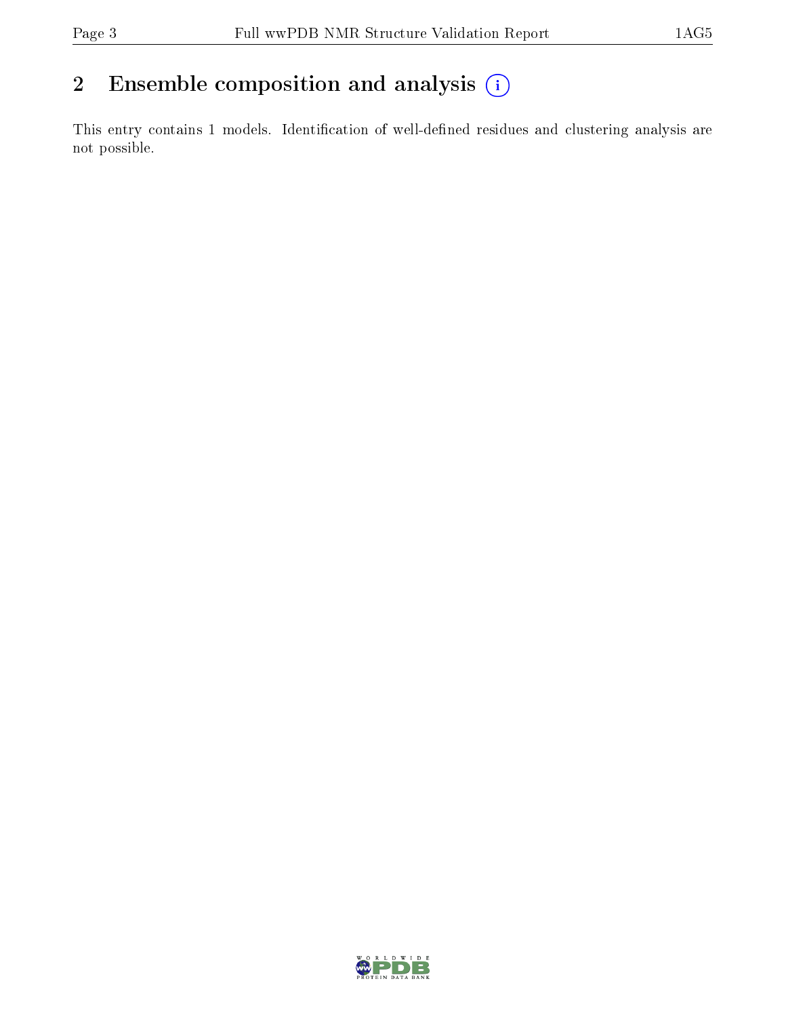## 2 Ensemble composition and analysis  $(i)$

This entry contains 1 models. Identification of well-defined residues and clustering analysis are not possible.

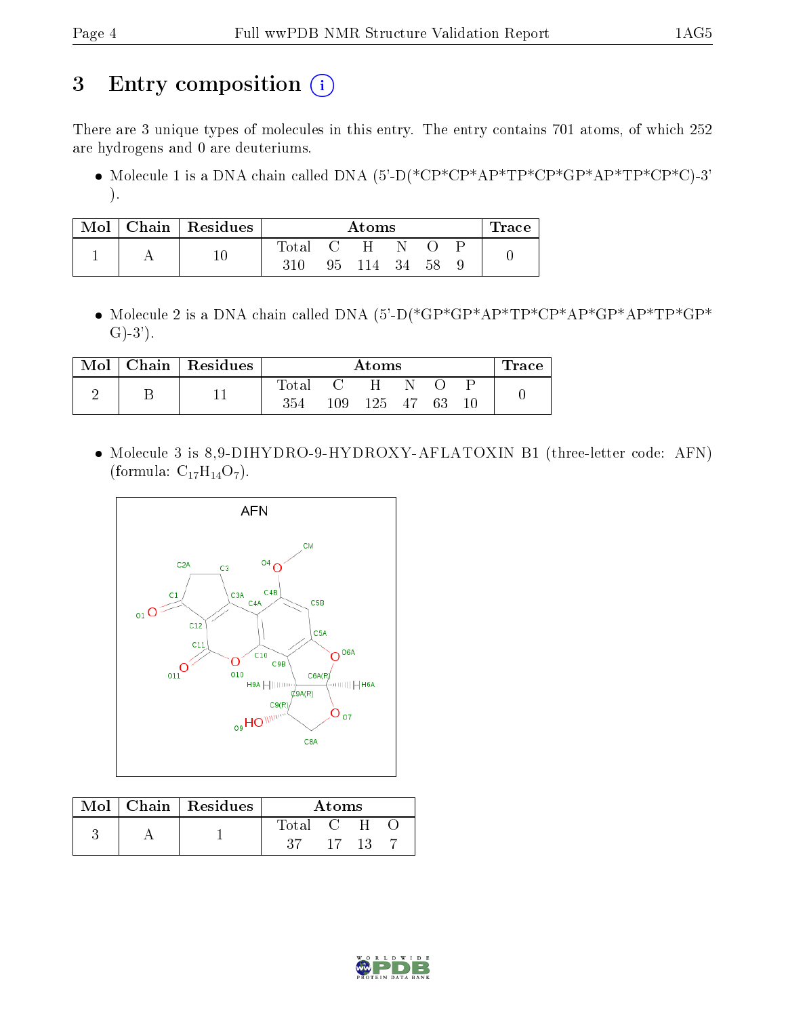## 3 Entry composition (i)

There are 3 unique types of molecules in this entry. The entry contains 701 atoms, of which 252 are hydrogens and 0 are deuteriums.

• Molecule 1 is a DNA chain called DNA  $(5)-D(*\text{CP}^*\text{CP}^*\text{AP}^*\text{TP}^*\text{CP}^*\text{AP}^*\text{TP}^*\text{CP}^*\text{CP}^*\text{CP}^*\text{CP}^*)-3'$ ).

| Mol | Chain Residues | Atoms       |            |       |     | $\operatorname{Trace}$ |  |  |
|-----|----------------|-------------|------------|-------|-----|------------------------|--|--|
|     |                | $\rm Total$ | $\epsilon$ |       |     |                        |  |  |
|     |                |             | 95         | - 114 | -34 | 58                     |  |  |

 Molecule 2 is a DNA chain called DNA (5'-D(\*GP\*GP\*AP\*TP\*CP\*AP\*GP\*AP\*TP\*GP\*  $G(-3)$ .

| Mol | Chain   $Residues$ | Atoms            |         |     |      | $\operatorname{Trace}$ |        |  |
|-----|--------------------|------------------|---------|-----|------|------------------------|--------|--|
|     |                    | $\mathrm{Total}$ |         | н   |      |                        |        |  |
|     |                    | 354              | $109\,$ | 125 | - 47 | 63                     | $10\,$ |  |

 Molecule 3 is 8,9-DIHYDRO-9-HYDROXY-AFLATOXIN B1 (three-letter code: AFN) (formula:  $C_{17}H_{14}O_7$ ).



|  | $Mol$   Chain   Residues | Atoms   |  |  |  |
|--|--------------------------|---------|--|--|--|
|  |                          | Total C |  |  |  |
|  |                          |         |  |  |  |

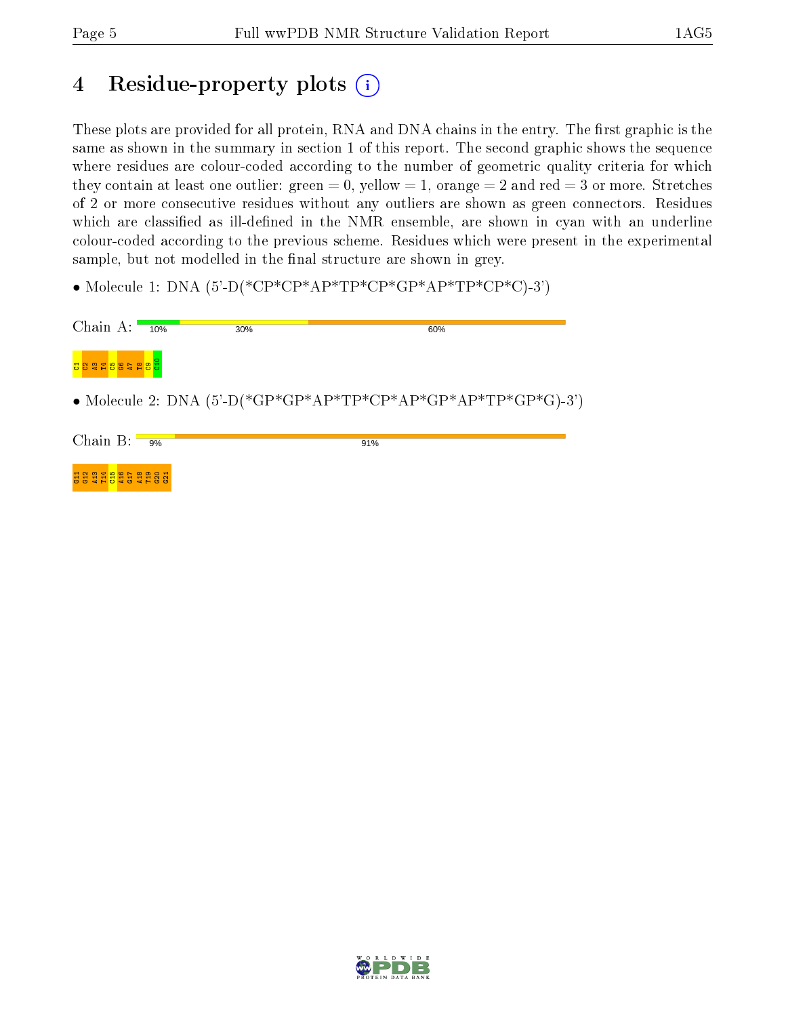## 4 Residue-property plots  $\binom{1}{1}$

These plots are provided for all protein, RNA and DNA chains in the entry. The first graphic is the same as shown in the summary in section 1 of this report. The second graphic shows the sequence where residues are colour-coded according to the number of geometric quality criteria for which they contain at least one outlier: green  $= 0$ , yellow  $= 1$ , orange  $= 2$  and red  $= 3$  or more. Stretches of 2 or more consecutive residues without any outliers are shown as green connectors. Residues which are classified as ill-defined in the NMR ensemble, are shown in cyan with an underline colour-coded according to the previous scheme. Residues which were present in the experimental sample, but not modelled in the final structure are shown in grey.

• Molecule 1: DNA  $(5)-P$ <sup>\*</sup>CP<sup>\*</sup>CP<sup>\*</sup>AP<sup>\*</sup>TP<sup>\*</sup>CP<sup>\*</sup>AP<sup>\*</sup>TP<sup>\*</sup>CP<sup>\*</sup>CP<sup>\*</sup>C<sub>P</sub><sup>\*</sup>CP<sup>\*</sup>C<sub>P</sub><sup>\*</sup>C<sub>P</sub><sup>\*</sup>C<sub>P</sub><sup>\*</sup>C<sub>P</sub><sup>\*</sup>C<sub>P</sub><sup>\*</sup>C<sub>P</sub><sup>\*</sup>C<sub>P</sub><sup>\*</sup>C<sub>P</sub><sup>\*</sup>C<sub>P</sub><sup>\*</sup>C<sub>P</sub><sup>\*</sup>C<sub>P</sub><sup>\*</sup>C<sub>P</sub><sup>\*</sup>C<sub>P</sub><sup>\*</sup>C<sub>P</sub><sup>\*</sup>C<sub>P</sub><sup>\*</sup>C<sub>P</sub><sup>\*</sup>C<sub>P</sub><sup>\*</sup>C<sub>P</sub><sup>\*</sup>C<sub>P</sub><sup>\*</sup>C<sub>P</sub>

| Chain A:          | 10% | 30% | 60%                                                                     |
|-------------------|-----|-----|-------------------------------------------------------------------------|
| <b>USTESSERSU</b> |     |     |                                                                         |
|                   |     |     | • Molecule 2: DNA $(5^{\circ}$ -D(*GP*GP*AP*TP*CP*AP*GP*AP*TP*GP*G)-3') |
| Chain B:          | 9%  |     | 91%                                                                     |
| <b>HRTHULLER</b>  |     |     |                                                                         |

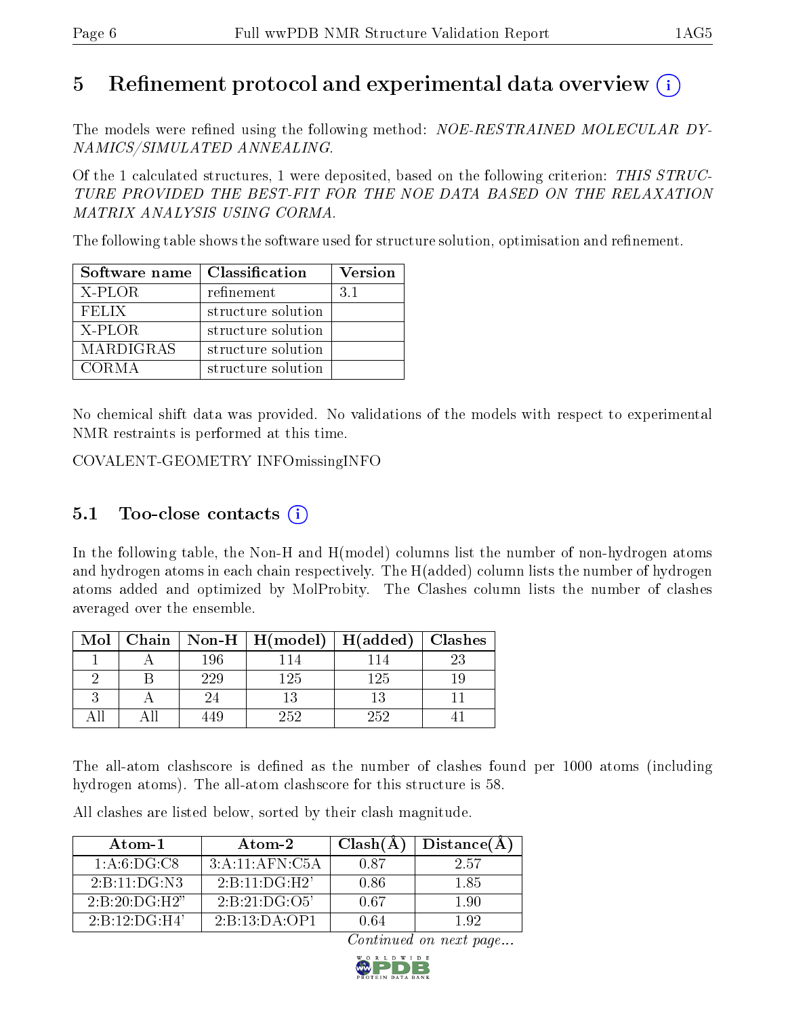## 5 Refinement protocol and experimental data overview  $\binom{1}{k}$

The models were refined using the following method: NOE-RESTRAINED MOLECULAR DY-NAMICS/SIMULATED ANNEALING.

Of the 1 calculated structures, 1 were deposited, based on the following criterion: THIS STRUC-TURE PROVIDED THE BEST-FIT FOR THE NOE DATA BASED ON THE RELAXATION MATRIX ANALYSIS USING CORMA.

The following table shows the software used for structure solution, optimisation and refinement.

| Software name    | Classification     | <b>Version</b> |
|------------------|--------------------|----------------|
| X-PLOR           | refinement         | 31             |
| <b>FELIX</b>     | structure solution |                |
| X-PLOR           | structure solution |                |
| <b>MARDIGRAS</b> | structure solution |                |
| CORMA            | structure solution |                |

No chemical shift data was provided. No validations of the models with respect to experimental NMR restraints is performed at this time.

COVALENT-GEOMETRY INFOmissingINFO

## $5.1$  Too-close contacts  $(i)$

In the following table, the Non-H and H(model) columns list the number of non-hydrogen atoms and hydrogen atoms in each chain respectively. The H(added) column lists the number of hydrogen atoms added and optimized by MolProbity. The Clashes column lists the number of clashes averaged over the ensemble.

| Mol |     | Chain   Non-H   $H (model)$ | $H(\mathrm{added})$ | $\vert$ Clashes |
|-----|-----|-----------------------------|---------------------|-----------------|
|     | 196 |                             |                     |                 |
|     | 229 | 125                         | 125                 |                 |
|     |     |                             |                     |                 |
|     |     | 252                         | 252                 |                 |

The all-atom clashscore is defined as the number of clashes found per 1000 atoms (including hydrogen atoms). The all-atom clashscore for this structure is 58.

All clashes are listed below, sorted by their clash magnitude.

| Atom-1        | Atom-2                                 | Clash(A) | Distance(A) |
|---------------|----------------------------------------|----------|-------------|
| 1: A:6:DG:CS  | 3: A: 11: AFN: C5A                     | 0.87     | 2.57        |
| 2:B:11:DG:N3  | $2 \cdot B \cdot 11 \cdot D \cdot H 2$ | 0.86     | 185         |
| 2:B:20:DG:H2" | 2:B:21:DG:O5'                          | 0.67     | 190         |
| 2:B:12:DG:H4' | 2:B:13:DA:OP1                          | () 64    | 192         |

Continued on next page...

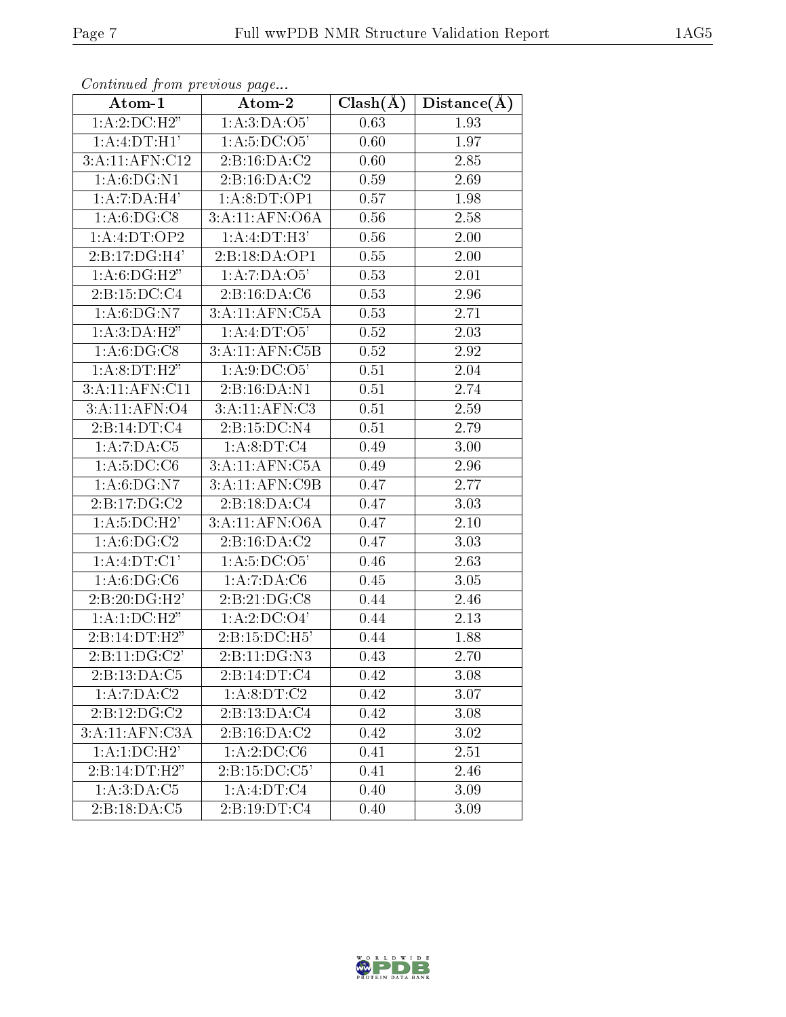| . <i>. . .</i><br>Atom-1             | <i>r</i> - <i>J</i> -<br>$Atom-2$  | $Clash(\AA)$ | Distance(A)       |
|--------------------------------------|------------------------------------|--------------|-------------------|
| 1:A:2:D C:H2"                        | 1:A:3:DA:O5'                       | 0.63         | 1.93              |
| 1:A:4:DT:H1'                         | $1:A:5:D1 \cdot 05'$               | 0.60         | 1.97              |
| 3:A:11:AFN:C12                       | 2:B:16:DA:C2                       | 0.60         | 2.85              |
| 1: A:6: DG: N1                       | 2:B:16:DA:C2                       | 0.59         | 2.69              |
| 1:A:7:DA:H4'                         | 1: A:8:DT:OP1                      | 0.57         | 1.98              |
| 1: A:6: DG: C8                       | 3:A:11:AFN:O6A                     | 0.56         | 2.58              |
| 1: A: 4: DT: OP2                     | 1: A: 4: DT:H3'                    | 0.56         | 2.00              |
| $2:B:17:DG:\overline{H4'}$           | 2:B:18:DA:OP1                      | 0.55         | 2.00              |
| 1:A:6:DG:H2"                         | 1:A:7:DA:O5'                       | 0.53         | 2.01              |
| 2:B:15:DC:C4                         | 2:Bi:16:DA:C6                      | 0.53         | 2.96              |
| $1:A:6:D\overline{G:N7}$             | 3:A:11:AFN:C5A                     | 0.53         | 2.71              |
| 1:A:3:DA:H <sub>2</sub> <sup>7</sup> | 1:A:4:DT:O5'                       | 0.52         | 2.03              |
| 1: A:6: DG: C8                       | $3:A:11:AFN:\overline{\text{C5B}}$ | 0.52         | 2.92              |
| 1:A:8:DT:H2"                         | 1:A:9:DC:O <sub>5</sub>            | 0.51         | 2.04              |
| 3:A:11:AFN:CI1                       | 2:B:16:DA:N1                       | 0.51         | $\overline{2.74}$ |
| 3:A:11:AFN:O4                        | 3:A:11:AFN:C3                      | 0.51         | 2.59              |
| 2:B:14:DT:C4                         | 2:B:15:DC:N4                       | 0.51         | 2.79              |
| $1:A:7:DA:\overline{C5}$             | 1: A:8:DT:C4                       | 0.49         | 3.00              |
| 1: A: 5: DC: C6                      | 3:A:11:AFN:C5A                     | 0.49         | 2.96              |
| 1: A:6: DG: N7                       | 3:A:11:AFN:C9B                     | 0.47         | 2.77              |
| $2:B:17:DG:\overline{C2}$            | 2:B:18:DA:C4                       | 0.47         | 3.03              |
| 1:A:5:DC:H2'                         | 3:A:11:AFN:O6A                     | 0.47         | 2.10              |
| 1: A:6: DG:C2                        | 2:B:16:DA:C2                       | 0.47         | 3.03              |
| 1: A: 4: DT: C1'                     | 1: A: 5: DC: O5'                   | 0.46         | 2.63              |
| 1: A:6: DG: C6                       | 1:A:7:DA:C6                        | 0.45         | 3.05              |
| 2:B:20:DG:H2'                        | 2: B: 21: DG: C8                   | 0.44         | 2.46              |
| 1:A:1:DC:H2"                         | 1:A:2:D C:O4'                      | 0.44         | 2.13              |
| 2:B:14:DT:H2"                        | 2:B:15:DC:H5'                      | 0.44         | 1.88              |
| 2:Bi:11:DG:C2'                       | 2:B:11:DG:N3                       | 0.43         | 2.70              |
| 2:B:13:DA:C5                         | 2:B:14:DT:C4                       | 0.42         | 3.08              |
| 1:A:7:DA:C2                          | 1: A:8: DT: C2                     | 0.42         | 3.07              |
| 2:B:12:DG:C2                         | 2:B:13:DA:C4                       | 0.42         | 3.08              |
| 3:A:11:AFN:C3A                       | 2:Bi:16:DA:C2                      | 0.42         | 3.02              |
| 1:A:1:DC:H2'                         | 1:A:2:DC:C6                        | 0.41         | 2.51              |
| 2:B:14:DT:H2"                        | 2:B:15:DC:C5'                      | 0.41         | 2.46              |
| 1:A:3:DA:C5                          | 1:A:4:DT:C4                        | 0.40         | 3.09              |
| 2:B:18:DA:C5                         | 2: B: 19: DT: C4                   | 0.40         | 3.09              |

Continued from previous page...

W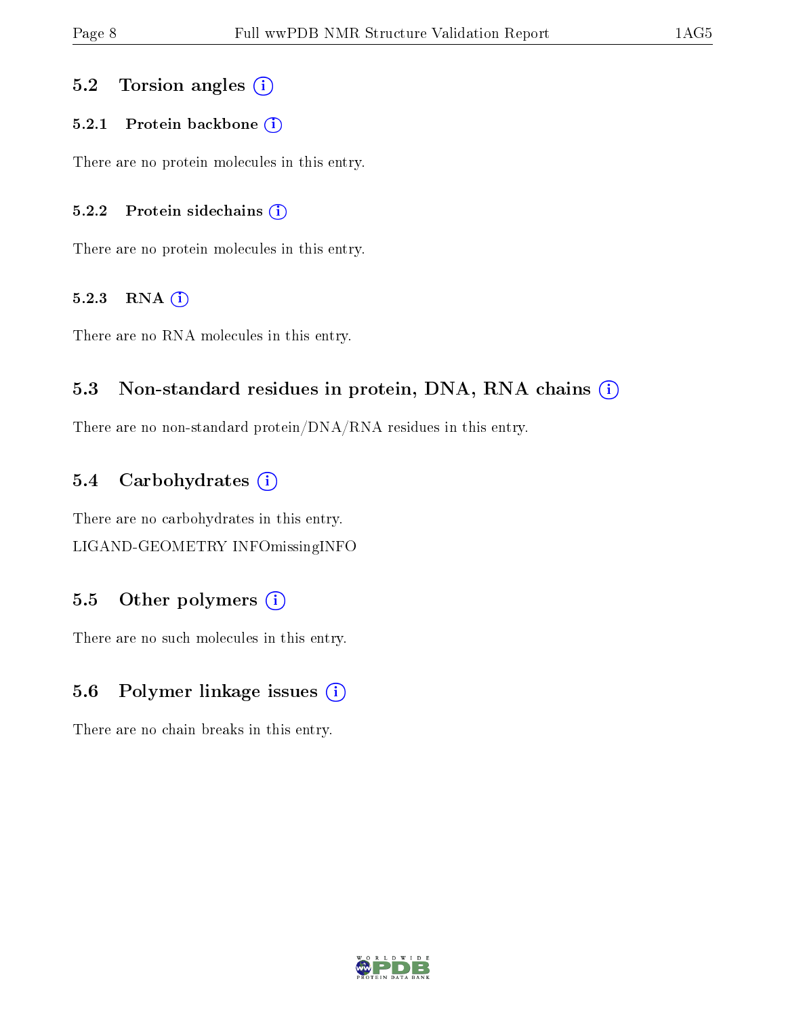### 5.2 Torsion angles  $(i)$

#### 5.2.1 Protein backbone (i)

There are no protein molecules in this entry.

#### 5.2.2 Protein sidechains (i)

There are no protein molecules in this entry.

#### 5.2.3 RNA (i)

There are no RNA molecules in this entry.

### 5.3 Non-standard residues in protein, DNA, RNA chains (i)

There are no non-standard protein/DNA/RNA residues in this entry.

#### 5.4 Carbohydrates (i)

There are no carbohydrates in this entry. LIGAND-GEOMETRY INFOmissingINFO

### 5.5 [O](https://www.wwpdb.org/validation/2017/NMRValidationReportHelp#nonstandard_residues_and_ligands)ther polymers  $(i)$

There are no such molecules in this entry.

### 5.6 Polymer linkage issues  $(i)$

There are no chain breaks in this entry.